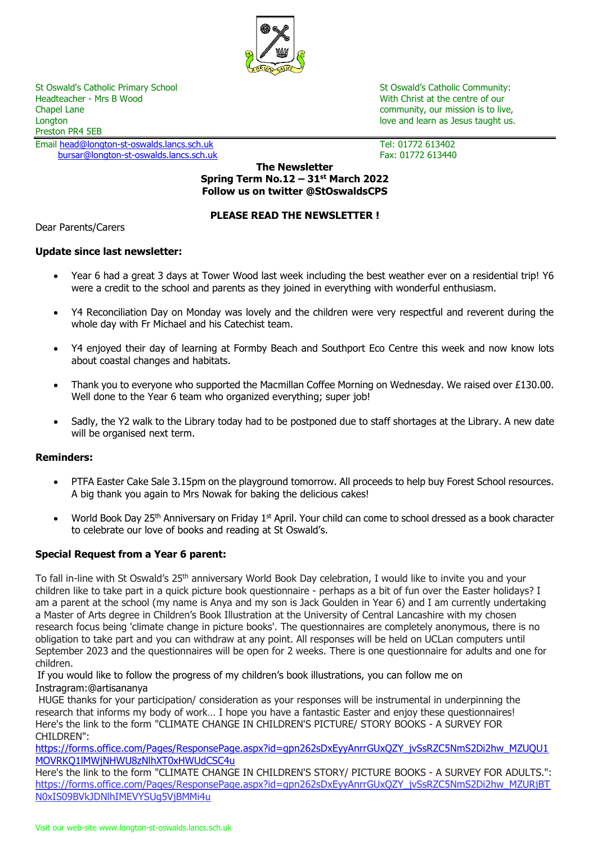

St Oswald's Catholic Primary School St Oswald's Catholic Community:<br>
Headteacher - Mrs B Wood St Oswald's Catholic Community:<br>
With Christ at the centre of our Chapel Lane community, our mission is to live, Longton love and learn as Jesus taught us. The love and love and learn as Jesus taught us. Preston PR4 5EB

Email [head@longton-st-oswalds.lancs.sch.uk](mailto:head@longton-st-oswalds.lancs.sch.uk) Tel: 01772 613402 [bursar@longton-st-oswalds.lancs.sch.uk](mailto:bursar@longton-st-oswalds.lancs.sch.uk) Fax: 01772 613440

With Christ at the centre of our

#### **The Newsletter Spring Term No.12 – 31st March 2022 Follow us on twitter @StOswaldsCPS**

### **PLEASE READ THE NEWSLETTER !**

Dear Parents/Carers

#### **Update since last newsletter:**

- Year 6 had a great 3 days at Tower Wood last week including the best weather ever on a residential trip! Y6 were a credit to the school and parents as they joined in everything with wonderful enthusiasm.
- Y4 Reconciliation Day on Monday was lovely and the children were very respectful and reverent during the whole day with Fr Michael and his Catechist team.
- Y4 enjoyed their day of learning at Formby Beach and Southport Eco Centre this week and now know lots about coastal changes and habitats.
- Thank you to everyone who supported the Macmillan Coffee Morning on Wednesday. We raised over £130.00. Well done to the Year 6 team who organized everything; super job!
- Sadly, the Y2 walk to the Library today had to be postponed due to staff shortages at the Library. A new date will be organised next term.

#### **Reminders:**

- PTFA Easter Cake Sale 3.15pm on the playground tomorrow. All proceeds to help buy Forest School resources. A big thank you again to Mrs Nowak for baking the delicious cakes!
- World Book Day 25<sup>th</sup> Anniversary on Friday 1<sup>st</sup> April. Your child can come to school dressed as a book character to celebrate our love of books and reading at St Oswald's.

#### **Special Request from a Year 6 parent:**

To fall in-line with St Oswald's 25th anniversary World Book Day celebration, I would like to invite you and your children like to take part in a quick picture book questionnaire - perhaps as a bit of fun over the Easter holidays? I am a parent at the school (my name is Anya and my son is Jack Goulden in Year 6) and I am currently undertaking a Master of Arts degree in Children's Book Illustration at the University of Central Lancashire with my chosen research focus being 'climate change in picture books'. The questionnaires are completely anonymous, there is no obligation to take part and you can withdraw at any point. All responses will be held on UCLan computers until September 2023 and the questionnaires will be open for 2 weeks. There is one questionnaire for adults and one for children.

If you would like to follow the progress of my children's book illustrations, you can follow me on Instragram:@artisananya

HUGE thanks for your participation/ consideration as your responses will be instrumental in underpinning the research that informs my body of work… I hope you have a fantastic Easter and enjoy these questionnaires! Here's the link to the form "CLIMATE CHANGE IN CHILDREN'S PICTURE/ STORY BOOKS - A SURVEY FOR CHILDREN":

[https://forms.office.com/Pages/ResponsePage.aspx?id=gpn262sDxEyyAnrrGUxQZY\\_jvSsRZC5NmS2Di2hw\\_MZUQU1](https://checkpoint.url-protection.com/v1/url?o=https%3A//forms.office.com/Pages/ResponsePage.aspx%3Fid%3Dgpn262sDxEyyAnrrGUxQZY_jvSsRZC5NmS2Di2hw_MZUQU1MOVRKQ1lMWjNHWU8zNlhXT0xHWUdCSC4u&g=MWI2YzE5NWJiZWMyZmRkNA==&h=YWVhMTE1OGE4NWYxZjMxNzQ3N2NmYzI2NjMyZTFmYTA2NzViYTliZTJmNzI2NmMyODNmMTc3M2UwMmQ3YWZiYw==&p=Y3AxZTp1Y2xhbmxpdmU6Y2hlY2twb2ludDpvZmZpY2UzNjVfZW1haWxzX2VtYWlsOjViYTk0M2ZhZmNlNDg3ZjAxN2FjYzFmMmJkMDJlOTcwOnYx) [MOVRKQ1lMWjNHWU8zNlhXT0xHWUdCSC4u](https://checkpoint.url-protection.com/v1/url?o=https%3A//forms.office.com/Pages/ResponsePage.aspx%3Fid%3Dgpn262sDxEyyAnrrGUxQZY_jvSsRZC5NmS2Di2hw_MZUQU1MOVRKQ1lMWjNHWU8zNlhXT0xHWUdCSC4u&g=MWI2YzE5NWJiZWMyZmRkNA==&h=YWVhMTE1OGE4NWYxZjMxNzQ3N2NmYzI2NjMyZTFmYTA2NzViYTliZTJmNzI2NmMyODNmMTc3M2UwMmQ3YWZiYw==&p=Y3AxZTp1Y2xhbmxpdmU6Y2hlY2twb2ludDpvZmZpY2UzNjVfZW1haWxzX2VtYWlsOjViYTk0M2ZhZmNlNDg3ZjAxN2FjYzFmMmJkMDJlOTcwOnYx)

Here's the link to the form "CLIMATE CHANGE IN CHILDREN'S STORY/ PICTURE BOOKS - A SURVEY FOR ADULTS.": [https://forms.office.com/Pages/ResponsePage.aspx?id=gpn262sDxEyyAnrrGUxQZY\\_jvSsRZC5NmS2Di2hw\\_MZURjBT](https://checkpoint.url-protection.com/v1/url?o=https%3A//forms.office.com/Pages/ResponsePage.aspx%3Fid%3Dgpn262sDxEyyAnrrGUxQZY_jvSsRZC5NmS2Di2hw_MZURjBTN0xIS09BVkJDNlhIMEVYSUg5VjBMMi4u&g=YmVhMTc2MDM3ZDQxMmI2NQ==&h=Yzc0NDdkMjQ0OTM0YmNkNWQ5YTRhYzgyNjg5ZGYwZWVlNDFhY2MzNjRmNGZkNmY3N2JiYmFmNDliYWU1MmJkZg==&p=Y3AxZTp1Y2xhbmxpdmU6Y2hlY2twb2ludDpvZmZpY2UzNjVfZW1haWxzX2VtYWlsOjViYTk0M2ZhZmNlNDg3ZjAxN2FjYzFmMmJkMDJlOTcwOnYx) [N0xIS09BVkJDNlhIMEVYSUg5VjBMMi4u](https://checkpoint.url-protection.com/v1/url?o=https%3A//forms.office.com/Pages/ResponsePage.aspx%3Fid%3Dgpn262sDxEyyAnrrGUxQZY_jvSsRZC5NmS2Di2hw_MZURjBTN0xIS09BVkJDNlhIMEVYSUg5VjBMMi4u&g=YmVhMTc2MDM3ZDQxMmI2NQ==&h=Yzc0NDdkMjQ0OTM0YmNkNWQ5YTRhYzgyNjg5ZGYwZWVlNDFhY2MzNjRmNGZkNmY3N2JiYmFmNDliYWU1MmJkZg==&p=Y3AxZTp1Y2xhbmxpdmU6Y2hlY2twb2ludDpvZmZpY2UzNjVfZW1haWxzX2VtYWlsOjViYTk0M2ZhZmNlNDg3ZjAxN2FjYzFmMmJkMDJlOTcwOnYx)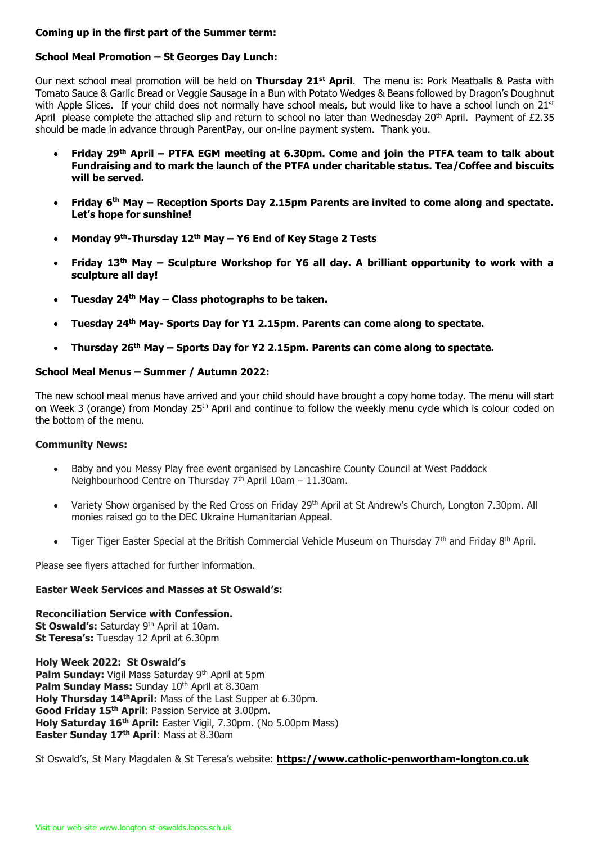### **Coming up in the first part of the Summer term:**

# **School Meal Promotion – St Georges Day Lunch:**

Our next school meal promotion will be held on **Thursday 21st April**. The menu is: Pork Meatballs & Pasta with Tomato Sauce & Garlic Bread or Veggie Sausage in a Bun with Potato Wedges & Beans followed by Dragon's Doughnut with Apple Slices. If your child does not normally have school meals, but would like to have a school lunch on 21st April please complete the attached slip and return to school no later than Wednesday 20<sup>th</sup> April. Payment of £2.35 should be made in advance through ParentPay, our on-line payment system. Thank you.

- **Friday 29th April – PTFA EGM meeting at 6.30pm. Come and join the PTFA team to talk about Fundraising and to mark the launch of the PTFA under charitable status. Tea/Coffee and biscuits will be served.**
- **Friday 6th May – Reception Sports Day 2.15pm Parents are invited to come along and spectate. Let's hope for sunshine!**
- **Monday 9th-Thursday 12th May – Y6 End of Key Stage 2 Tests**
- **Friday 13th May – Sculpture Workshop for Y6 all day. A brilliant opportunity to work with a sculpture all day!**
- **Tuesday 24th May – Class photographs to be taken.**
- **Tuesday 24th May- Sports Day for Y1 2.15pm. Parents can come along to spectate.**
- **Thursday 26th May – Sports Day for Y2 2.15pm. Parents can come along to spectate.**

# **School Meal Menus – Summer / Autumn 2022:**

The new school meal menus have arrived and your child should have brought a copy home today. The menu will start on Week 3 (orange) from Monday 25<sup>th</sup> April and continue to follow the weekly menu cycle which is colour coded on the bottom of the menu.

## **Community News:**

- Baby and you Messy Play free event organised by Lancashire County Council at West Paddock Neighbourhood Centre on Thursday 7<sup>th</sup> April 10am - 11.30am.
- Variety Show organised by the Red Cross on Friday 29<sup>th</sup> April at St Andrew's Church, Longton 7.30pm. All monies raised go to the DEC Ukraine Humanitarian Appeal.
- Tiger Tiger Easter Special at the British Commercial Vehicle Museum on Thursday  $7<sup>th</sup>$  and Friday 8<sup>th</sup> April.

Please see flyers attached for further information.

## **Easter Week Services and Masses at St Oswald's:**

**Reconciliation Service with Confession.** St Oswald's: Saturday 9<sup>th</sup> April at 10am. **St Teresa's:** Tuesday 12 April at 6.30pm

**Holy Week 2022: St Oswald's** Palm Sunday: Vigil Mass Saturday 9<sup>th</sup> April at 5pm **Palm Sunday Mass:** Sunday 10<sup>th</sup> April at 8.30am **Holy Thursday 14thApril:** Mass of the Last Supper at 6.30pm. **Good Friday 15th April**: Passion Service at 3.00pm. **Holy Saturday 16th April:** Easter Vigil, 7.30pm. (No 5.00pm Mass) **Easter Sunday 17th April**: Mass at 8.30am

St Oswald's, St Mary Magdalen & St Teresa's website: **[https://www.catholic-penwortham-longton.co.uk](https://www.catholic-penwortham-longton.co.uk/)**